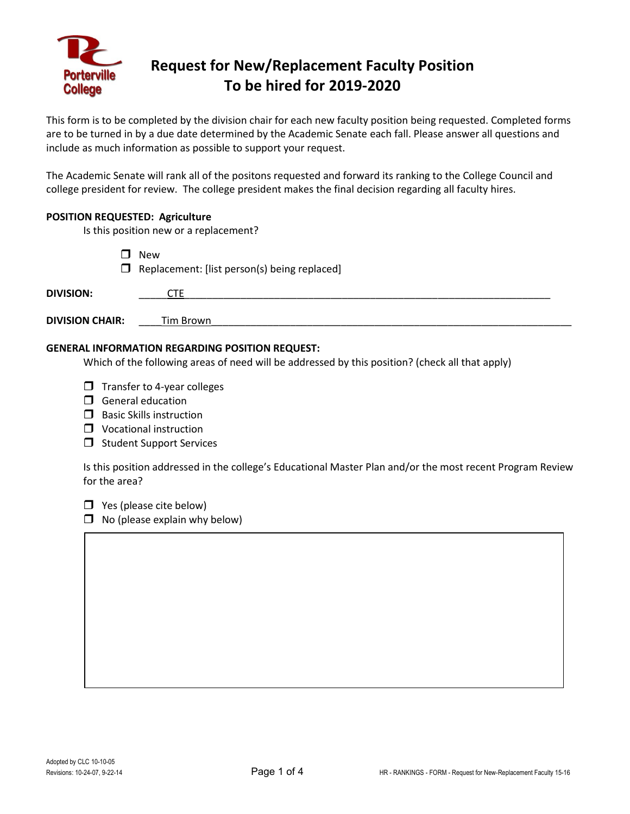

# **Request for New/Replacement Faculty Position To be hired for 2019-2020**

This form is to be completed by the division chair for each new faculty position being requested. Completed forms are to be turned in by a due date determined by the Academic Senate each fall. Please answer all questions and include as much information as possible to support your request.

The Academic Senate will rank all of the positons requested and forward its ranking to the College Council and college president for review. The college president makes the final decision regarding all faculty hires.

### **POSITION REQUESTED: Agriculture**

Is this position new or a replacement?

**D** New  $\Box$  Replacement: [list person(s) being replaced]

| <b>DIVISION:</b>       |           |  |  |
|------------------------|-----------|--|--|
| <b>DIVISION CHAIR:</b> | Tim Brown |  |  |

### **GENERAL INFORMATION REGARDING POSITION REQUEST:**

Which of the following areas of need will be addressed by this position? (check all that apply)

- $\Box$  Transfer to 4-year colleges
- $\Box$  General education
- $\Box$  Basic Skills instruction
- **U** Vocational instruction
- $\Box$  Student Support Services

Is this position addressed in the college's Educational Master Plan and/or the most recent Program Review for the area?

 $\Box$  Yes (please cite below)

 $\Box$  No (please explain why below)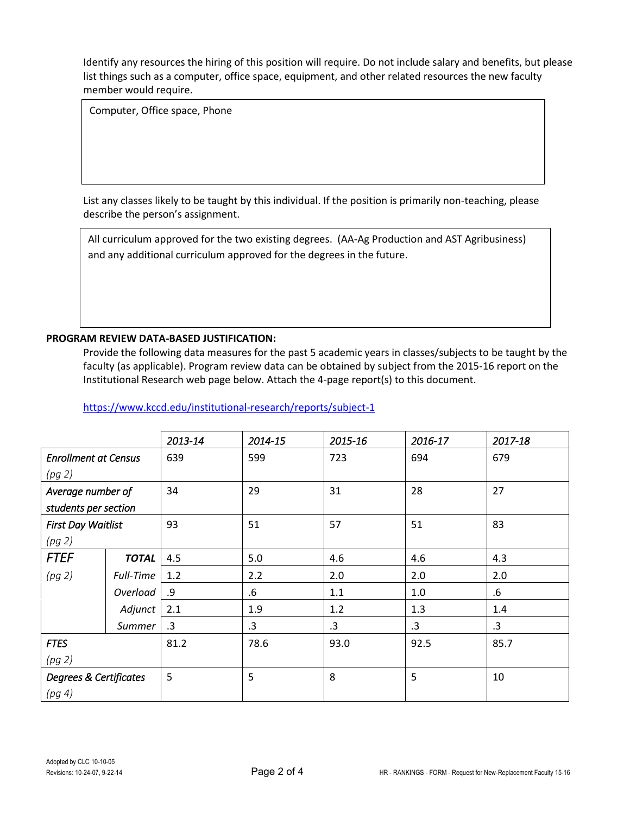Identify any resources the hiring of this position will require. Do not include salary and benefits, but please list things such as a computer, office space, equipment, and other related resources the new faculty member would require.

Computer, Office space, Phone

List any classes likely to be taught by this individual. If the position is primarily non-teaching, please describe the person's assignment.

All curriculum approved for the two existing degrees. (AA-Ag Production and AST Agribusiness) and any additional curriculum approved for the degrees in the future.

### **PROGRAM REVIEW DATA-BASED JUSTIFICATION:**

Provide the following data measures for the past 5 academic years in classes/subjects to be taught by the faculty (as applicable). Program review data can be obtained by subject from the 2015-16 report on the Institutional Research web page below. Attach the 4-page report(s) to this document.

|                             |              | 2013-14   | 2014-15 | 2015-16 | 2016-17 | 2017-18 |
|-----------------------------|--------------|-----------|---------|---------|---------|---------|
| <b>Enrollment at Census</b> |              | 639       | 599     | 723     | 694     | 679     |
| (pg 2)                      |              |           |         |         |         |         |
| Average number of           |              | 34        | 29      | 31      | 28      | 27      |
| students per section        |              |           |         |         |         |         |
| <b>First Day Waitlist</b>   |              | 93        | 51      | 57      | 51      | 83      |
| (pg 2)                      |              |           |         |         |         |         |
| <b>FTEF</b>                 | <b>TOTAL</b> | 4.5       | 5.0     | 4.6     | 4.6     | 4.3     |
| (pg 2)                      | Full-Time    | 1.2       | 2.2     | 2.0     | 2.0     | 2.0     |
|                             | Overload     | .9        | $.6\,$  | 1.1     | 1.0     | $.6\,$  |
|                             | Adjunct      | 2.1       | 1.9     | 1.2     | 1.3     | 1.4     |
|                             | Summer       | $\cdot$ 3 | .3      | .3      | .3      | .3      |
| <b>FTES</b>                 |              | 81.2      | 78.6    | 93.0    | 92.5    | 85.7    |
| (pg 2)                      |              |           |         |         |         |         |
| Degrees & Certificates      |              | 5         | 5       | 8       | 5       | 10      |
| (pg 4)                      |              |           |         |         |         |         |

<https://www.kccd.edu/institutional-research/reports/subject-1>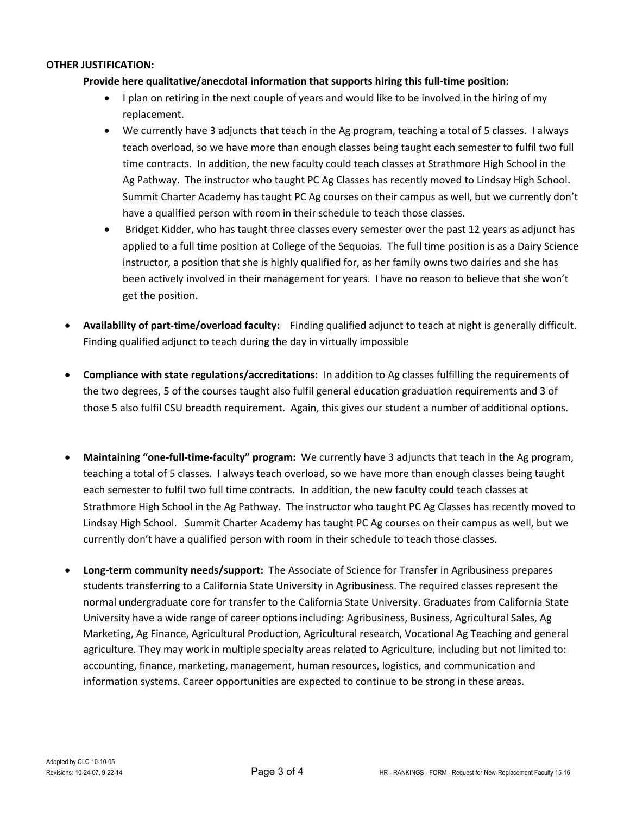#### **OTHER JUSTIFICATION:**

## **Provide here qualitative/anecdotal information that supports hiring this full-time position:**

- I plan on retiring in the next couple of years and would like to be involved in the hiring of my replacement.
- We currently have 3 adjuncts that teach in the Ag program, teaching a total of 5 classes. I always teach overload, so we have more than enough classes being taught each semester to fulfil two full time contracts. In addition, the new faculty could teach classes at Strathmore High School in the Ag Pathway. The instructor who taught PC Ag Classes has recently moved to Lindsay High School. Summit Charter Academy has taught PC Ag courses on their campus as well, but we currently don't have a qualified person with room in their schedule to teach those classes.
- Bridget Kidder, who has taught three classes every semester over the past 12 years as adjunct has applied to a full time position at College of the Sequoias. The full time position is as a Dairy Science instructor, a position that she is highly qualified for, as her family owns two dairies and she has been actively involved in their management for years. I have no reason to believe that she won't get the position.
- **Availability of part-time/overload faculty:** Finding qualified adjunct to teach at night is generally difficult. Finding qualified adjunct to teach during the day in virtually impossible
- **Compliance with state regulations/accreditations:** In addition to Ag classes fulfilling the requirements of the two degrees, 5 of the courses taught also fulfil general education graduation requirements and 3 of those 5 also fulfil CSU breadth requirement. Again, this gives our student a number of additional options.
- **Maintaining "one-full-time-faculty" program:** We currently have 3 adjuncts that teach in the Ag program, teaching a total of 5 classes. I always teach overload, so we have more than enough classes being taught each semester to fulfil two full time contracts. In addition, the new faculty could teach classes at Strathmore High School in the Ag Pathway. The instructor who taught PC Ag Classes has recently moved to Lindsay High School. Summit Charter Academy has taught PC Ag courses on their campus as well, but we currently don't have a qualified person with room in their schedule to teach those classes.
- **Long-term community needs/support:** The Associate of Science for Transfer in Agribusiness prepares students transferring to a California State University in Agribusiness. The required classes represent the normal undergraduate core for transfer to the California State University. Graduates from California State University have a wide range of career options including: Agribusiness, Business, Agricultural Sales, Ag Marketing, Ag Finance, Agricultural Production, Agricultural research, Vocational Ag Teaching and general agriculture. They may work in multiple specialty areas related to Agriculture, including but not limited to: accounting, finance, marketing, management, human resources, logistics, and communication and information systems. Career opportunities are expected to continue to be strong in these areas.